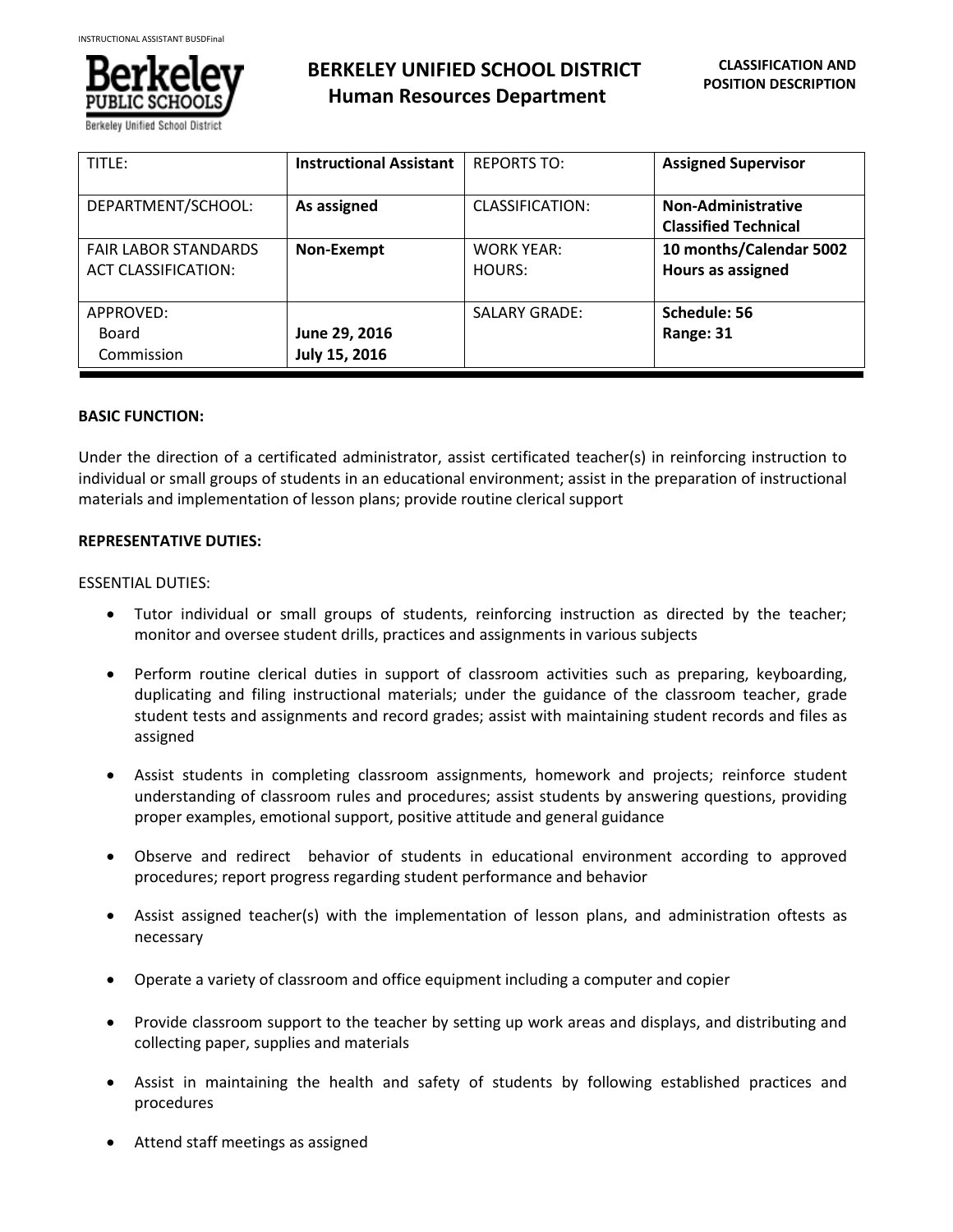

| TITLE:                      | <b>Instructional Assistant</b> | <b>REPORTS TO:</b>     | <b>Assigned Supervisor</b>  |
|-----------------------------|--------------------------------|------------------------|-----------------------------|
| DEPARTMENT/SCHOOL:          | As assigned                    | <b>CLASSIFICATION:</b> | <b>Non-Administrative</b>   |
|                             |                                |                        | <b>Classified Technical</b> |
| <b>FAIR LABOR STANDARDS</b> | Non-Exempt                     | <b>WORK YEAR:</b>      | 10 months/Calendar 5002     |
| <b>ACT CLASSIFICATION:</b>  |                                | HOURS:                 | <b>Hours as assigned</b>    |
|                             |                                |                        |                             |
| APPROVED:                   |                                | <b>SALARY GRADE:</b>   | Schedule: 56                |
| Board                       | June 29, 2016                  |                        | Range: 31                   |
| Commission                  | July 15, 2016                  |                        |                             |

# **BASIC FUNCTION:**

Under the direction of a certificated administrator, assist certificated teacher(s) in reinforcing instruction to individual or small groups of students in an educational environment; assist in the preparation of instructional materials and implementation of lesson plans; provide routine clerical support

### **REPRESENTATIVE DUTIES:**

#### ESSENTIAL DUTIES:

- Tutor individual or small groups of students, reinforcing instruction as directed by the teacher; monitor and oversee student drills, practices and assignments in various subjects
- Perform routine clerical duties in support of classroom activities such as preparing, keyboarding, duplicating and filing instructional materials; under the guidance of the classroom teacher, grade student tests and assignments and record grades; assist with maintaining student records and files as assigned
- Assist students in completing classroom assignments, homework and projects; reinforce student understanding of classroom rules and procedures; assist students by answering questions, providing proper examples, emotional support, positive attitude and general guidance
- Observe and redirect behavior of students in educational environment according to approved procedures; report progress regarding student performance and behavior
- Assist assigned teacher(s) with the implementation of lesson plans, and administration oftests as necessary
- Operate a variety of classroom and office equipment including a computer and copier
- Provide classroom support to the teacher by setting up work areas and displays, and distributing and collecting paper, supplies and materials
- Assist in maintaining the health and safety of students by following established practices and procedures
- Attend staff meetings as assigned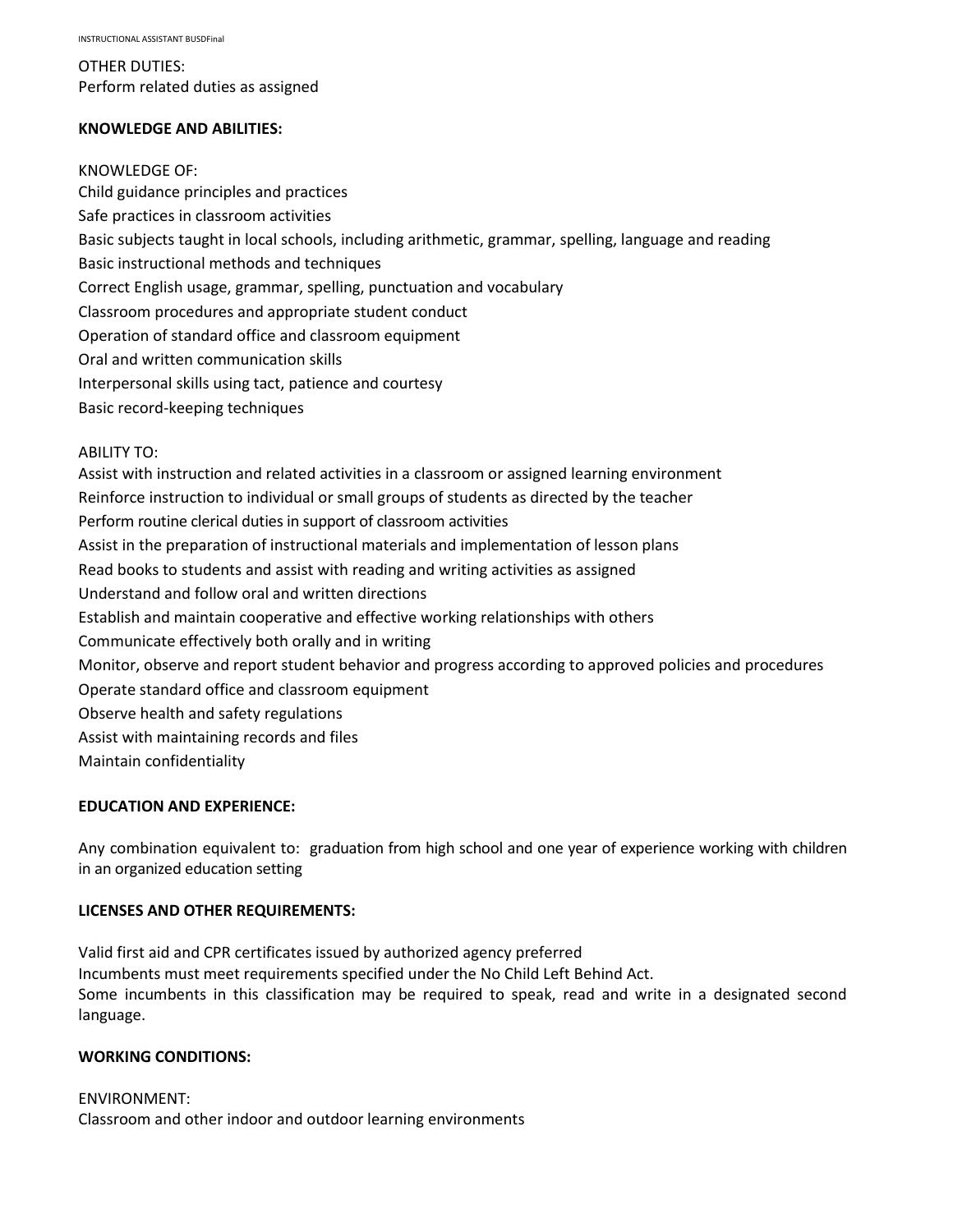OTHER DUTIES: Perform related duties as assigned

### **KNOWLEDGE AND ABILITIES:**

KNOWLEDGE OF: Child guidance principles and practices Safe practices in classroom activities Basic subjects taught in local schools, including arithmetic, grammar, spelling, language and reading Basic instructional methods and techniques Correct English usage, grammar, spelling, punctuation and vocabulary Classroom procedures and appropriate student conduct Operation of standard office and classroom equipment Oral and written communication skills Interpersonal skills using tact, patience and courtesy Basic record-keeping techniques ABILITY TO:

Assist with instruction and related activities in a classroom or assigned learning environment Reinforce instruction to individual or small groups of students as directed by the teacher Perform routine clerical duties in support of classroom activities Assist in the preparation of instructional materials and implementation of lesson plans Read books to students and assist with reading and writing activities as assigned Understand and follow oral and written directions Establish and maintain cooperative and effective working relationships with others Communicate effectively both orally and in writing Monitor, observe and report student behavior and progress according to approved policies and procedures Operate standard office and classroom equipment Observe health and safety regulations Assist with maintaining records and files Maintain confidentiality

# **EDUCATION AND EXPERIENCE:**

Any combination equivalent to: graduation from high school and one year of experience working with children in an organized education setting

# **LICENSES AND OTHER REQUIREMENTS:**

Valid first aid and CPR certificates issued by authorized agency preferred Incumbents must meet requirements specified under the No Child Left Behind Act. Some incumbents in this classification may be required to speak, read and write in a designated second language.

# **WORKING CONDITIONS:**

ENVIRONMENT: Classroom and other indoor and outdoor learning environments